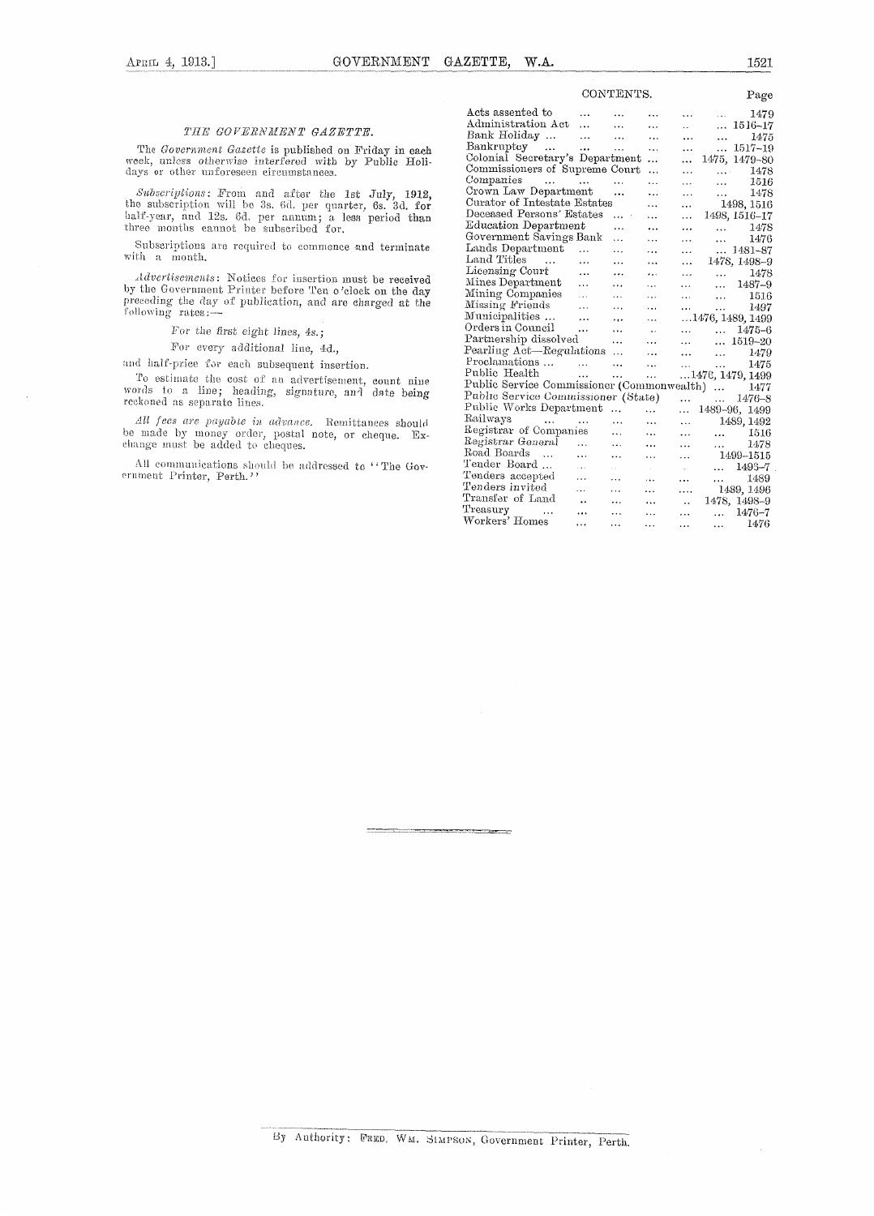### **CONTENTES**

#### THE GOVERNMENT GAZETTE.

The Government Gazette is published on Friday in each week, unless otherwise interfered with by Public Holi-<br>days or other unforeseen circumstances.

Subscriptions: From and after the 1st July, 1912, the subscription will be 3s. 6d. per quarter, 6s. 3d. for half-year, and 12s. 6d. per annum; a less period than three months cannot be subscribed for.

Subscriptions are required to commence and terminate with a month.

*Advertisements*: Notices for insertion must be received<br>by the Government Printer before Ten o'clock on the day<br>preceding the day of publication, and are charged at the<br> $\frac{n \cdot n}{n}$ . following rates:-

For the first eight lines, 4s.;

For every additional line, 4d.,

and half-price for each subsequent insertion.

To estimate the cost of an advertisement, count nine words to a line; heading, signature, and date being reekoned as separate lines.

All fees are payable in advance. Remittances should be made by money order, postal note, or cheque. Ex-

All communications should be addressed to "The Government Printer, Perth."

|                                                  | CUNTENTS.    |                      |           |                      |                               | Page                      |
|--------------------------------------------------|--------------|----------------------|-----------|----------------------|-------------------------------|---------------------------|
| Acts assented to                                 | $\cdots$     | $\ddotsc$            | $\ddotsc$ | $\ddotsc$            | <b>College</b>                | 1479                      |
| Administration Act                               | $\cdots$     | $\ddotsc$            | $\ddotsc$ | $\cdot$ .            | $\cdots$                      | 1516-17                   |
| Bank Holiday                                     | $\ddotsc$    | $\ddotsc$            | .         | .                    | $\ddotsc$                     | 1475                      |
| Bankruptcy<br>$\sim$                             |              | $\cdots$             | .         | $\cdots$             | $\cdots$                      | $1517 - 19$               |
| Colonial Secretary's Department                  |              |                      | .         | .                    |                               | 1475, 1479–80             |
| Commissioners of Supreme Court                   |              |                      | .         | .                    |                               | 1478<br><b>Contractor</b> |
| Companies<br>and the same                        |              | .                    | .         | .                    | $\ddotsc$                     | 1516                      |
| Crown Law Department                             |              | .                    | .         | .                    | $\ddotsc$                     | 1478                      |
| Curator of Intestate Estates                     |              |                      | .         | .                    |                               | 1498, 1516                |
| Deceased Persons' Estates                        |              | $\cdots$             | .         | $\cdots$             |                               | 1498, 1516–17             |
| Education Department                             |              | .                    | $\ddotsc$ | .                    | $\cdots$                      | 1478                      |
| Government Savings Bank                          |              | $\ddotsc$            | .         | $\cdots$             | $\ddotsc$                     | 1476                      |
| Lands Department                                 | $\mathbf{r}$ | .                    | $\ddotsc$ | .                    |                               | $ 1481 - 87$              |
| Land Titles<br>$\sim$ 100                        | $\ddotsc$    | .                    | $\cdots$  | $\cdots$             |                               | 1478, 1498-9              |
| Licensing Court                                  | $\ddotsc$    | $\ddotsc$            |           | .                    | $\mathbf{1}$                  | 1478                      |
| Mines Department                                 | .            | .                    | .         | $\cdots$             |                               | $ 1487 - 9$               |
| Mining Companies                                 | $\ddotsc$    | $\ddotsc$            | $\ddotsc$ | $\cdots$             | <b>Contractor</b>             | 1516                      |
| Missing Friends                                  | $\ddotsc$    | .                    | $\ddotsc$ | .                    |                               | 1497                      |
| Municipalities                                   | .            | $\ddot{\phantom{0}}$ | $\cdot$ . |                      |                               | 1476, 1489, 1499          |
| Orders in Council                                | $\cdots$     | $\ddotsc$            | $\sim$    | $\cdots$             |                               | $\dots$ 1475-6            |
| Partnership dissolved                            |              | $\ddotsc$            | $\ddotsc$ | .                    |                               | $\dots$ 1519-20           |
| Pearling Act-Regulations                         |              | .                    | .         |                      | <b><i>Printed</i> Printed</b> | 1479                      |
| Proclamations                                    | $\ldots$     | 44                   | .         | 222 College          |                               | $\dots$ 1475              |
| Public Health                                    | $\ddotsc$    | .                    | .         |                      |                               | 1476, 1479, 1499          |
| Public Service Commissioner (Commonwealth)  1477 |              |                      |           |                      |                               |                           |
| Public Service Commissioner (State)              |              |                      |           | .                    | $\sim$ 100 $\sim$             | 1476-8                    |
| Public Works Department                          |              | $\ddotsc$            | $\cdots$  | $\cdots$             |                               | 1489-96, 1499             |
| Railways                                         |              | $\cdots$             |           | $\ddotsc$            |                               | 1489, 1492                |
| Registrar of Companies                           |              | .                    | $\ddotsc$ | .                    | $\cdots$                      | 1516                      |
| Registrar General                                | .            | $\ddotsc$            | $\ddotsc$ | $\cdots$             | $\cdots$                      | 1478                      |
| Road Boards<br>$\sim$                            | $\ddotsc$    | $\cdots$             | $\ddotsc$ | $\ddot{\phantom{a}}$ |                               | 1499-1515                 |
| Tender Board                                     | $\ddotsc$    | a a                  | $\sim$    | $\sim$               |                               | $\dots$ 1493–7            |
| Tenders accepted                                 | .            | .                    | .         | .                    | $\cdots$                      | 1489                      |
| Tenders invited                                  | $\cdots$     | $\ldots$             | .         | .                    |                               | 1489, 1496                |
| Transfer of Land                                 | $\ddotsc$    | .                    | $\ddotsc$ | $\ddot{\phantom{a}}$ |                               | 1478, 1498–9              |
| Treasury<br>.                                    | .            | .                    | $\ddotsc$ | .                    | $\cdots$                      | 1476-7                    |
| Workers' Homes                                   | $\cdots$     | $\cdots$             | $\ddotsc$ | $\ddotsc$            | asset in the                  | 1476                      |
|                                                  |              |                      |           |                      |                               |                           |